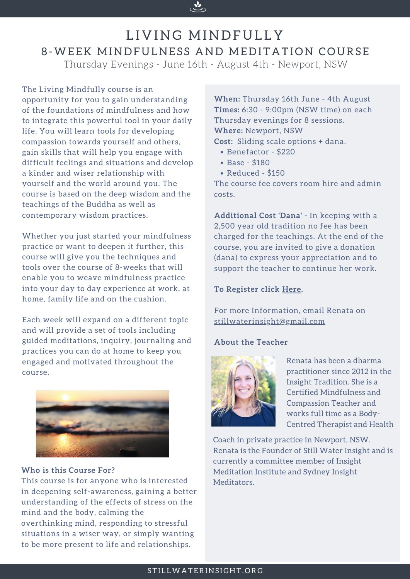The Living Mindfully course is an opportunity for you to gain understanding of the foundations of mindfulness and how to integrate this powerful tool in your daily life. You will learn tools for developing compassion towards yourself and others, gain skills that will help you engage with difficult feelings and situations and develop a kinder and wiser relationship with yourself and the world around you. The course is based on the deep wisdom and the teachings of the Buddha as well as contemporary wisdom practices.

Whether you just started your mindfulness practice or want to deepen it further, this course will give you the techniques and tools over the course of 8-weeks that will enable you to weave mindfulness practice into your day to day experience at work, at home, family life and on the cushion.



## LIVING MINDFULLY 8-WEEK MINDFULNESS AND MEDITATION COURSE Thursday Evenings - June 16th - August 4th - Newport, NSW

Each week will expand on a different topic and will provide a set of tools including guided meditations, inquiry, journaling and practices you can do at home to keep you engaged and motivated throughout the course.



- Benefactor \$220
- Base \$180
- Reduced \$150

**When:** Thursday 16th June - 4th August **Times:** 6:30 - 9:00pm (NSW time) on each Thursday evenings for 8 sessions. **Where:** Newport, NSW **Cost:** Sliding scale options + dana.

The course fee covers room hire and admin costs.

**Additional Cost 'Dana'** - In keeping with a 2,500 year old tradition no fee has been charged for the teachings. At the end of the course, you are invited to give a donation (dana) to express your appreciation and to support the teacher to continue her work.

#### **To Register click [Here](https://events.humanitix.com/living-mindfully-8-week-mindfulness-and-meditation-course).**

For more Information, email Renata on [stillwaterinsight@gmail.com](mailto:stillwaterinsight@gmail.com)

#### **About the Teacher**



Renata has been a dharma practitioner since 2012 in the Insight Tradition. She is a Certified Mindfulness and Compassion Teacher and works full time as a Body-Centred Therapist and Health

Coach in private practice in Newport, NSW. Renata is the Founder of Still Water [Insight](http://www.stillwaterinsight.org/) and is currently a committee member of Insight [Meditation](https://www.insightmeditationinstitute.org/) Institute and Sydney Insight [Meditators.](https://www.sydneyinsightmeditators.org/)

#### STILLWATERINSIGHT.ORG

#### **Who is this Course For?**

This course is for anyone who is interested in deepening self-awareness, gaining a better understanding of the effects of stress on the mind and the body, calming the overthinking mind, responding to stressful situations in a wiser way, or simply wanting to be more present to life and relationships.